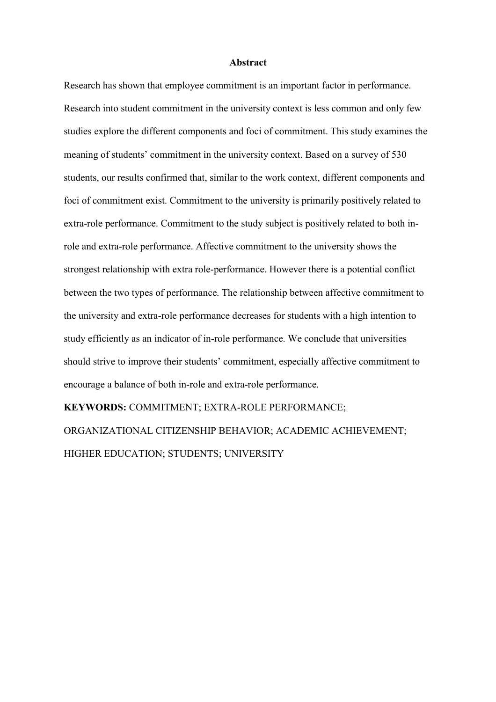# **Abstract**

Research has shown that employee commitment is an important factor in performance. Research into student commitment in the university context is less common and only few studies explore the different components and foci of commitment. This study examines the meaning of students' commitment in the university context. Based on a survey of 530 students, our results confirmed that, similar to the work context, different components and foci of commitment exist. Commitment to the university is primarily positively related to extra-role performance. Commitment to the study subject is positively related to both inrole and extra-role performance. Affective commitment to the university shows the strongest relationship with extra role-performance. However there is a potential conflict between the two types of performance. The relationship between affective commitment to the university and extra-role performance decreases for students with a high intention to study efficiently as an indicator of in-role performance. We conclude that universities should strive to improve their students' commitment, especially affective commitment to encourage a balance of both in-role and extra-role performance.

**KEYWORDS:** COMMITMENT; EXTRA-ROLE PERFORMANCE; ORGANIZATIONAL CITIZENSHIP BEHAVIOR; ACADEMIC ACHIEVEMENT; HIGHER EDUCATION; STUDENTS; UNIVERSITY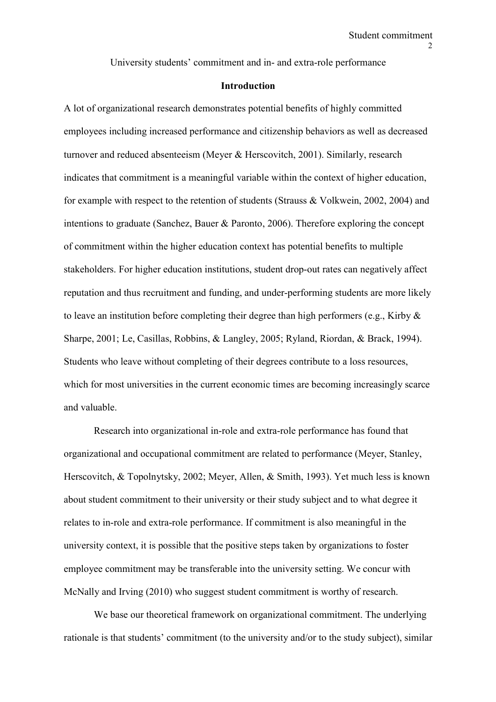University students' commitment and in- and extra-role performance

# **Introduction**

A lot of organizational research demonstrates potential benefits of highly committed employees including increased performance and citizenship behaviors as well as decreased turnover and reduced absenteeism (Meyer & Herscovitch, 2001). Similarly, research indicates that commitment is a meaningful variable within the context of higher education, for example with respect to the retention of students (Strauss & Volkwein, 2002, 2004) and intentions to graduate (Sanchez, Bauer & Paronto, 2006). Therefore exploring the concept of commitment within the higher education context has potential benefits to multiple stakeholders. For higher education institutions, student drop-out rates can negatively affect reputation and thus recruitment and funding, and under-performing students are more likely to leave an institution before completing their degree than high performers (e.g., Kirby & Sharpe, 2001; Le, Casillas, Robbins, & Langley, 2005; Ryland, Riordan, & Brack, 1994). Students who leave without completing of their degrees contribute to a loss resources, which for most universities in the current economic times are becoming increasingly scarce and valuable.

Research into organizational in-role and extra-role performance has found that organizational and occupational commitment are related to performance (Meyer, Stanley, Herscovitch, & Topolnytsky, 2002; Meyer, Allen, & Smith, 1993). Yet much less is known about student commitment to their university or their study subject and to what degree it relates to in-role and extra-role performance. If commitment is also meaningful in the university context, it is possible that the positive steps taken by organizations to foster employee commitment may be transferable into the university setting. We concur with McNally and Irving (2010) who suggest student commitment is worthy of research.

We base our theoretical framework on organizational commitment. The underlying rationale is that students' commitment (to the university and/or to the study subject), similar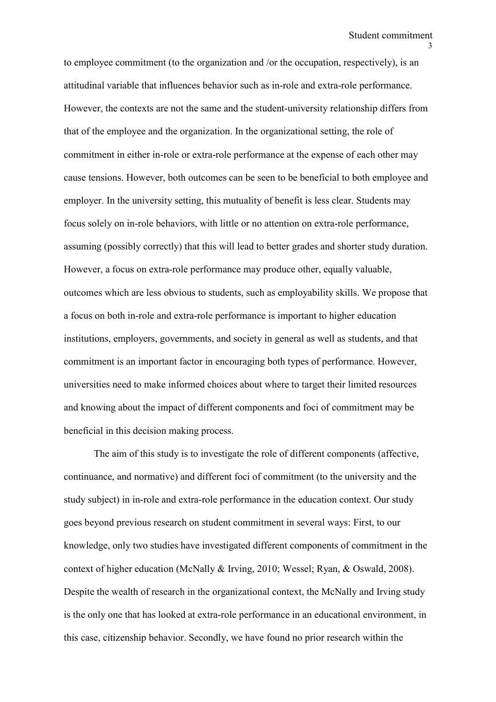to employee commitment (to the organization and /or the occupation, respectively), is an attitudinal variable that influences behavior such as in-role and extra-role performance. However, the contexts are not the same and the student-university relationship differs from that of the employee and the organization. In the organizational setting, the role of commitment in either in-role or extra-role performance at the expense of each other may cause tensions. However, both outcomes can be seen to be beneficial to both employee and employer. In the university setting, this mutuality of benefit is less clear. Students may focus solely on in-role behaviors, with little or no attention on extra-role performance, assuming (possibly correctly) that this will lead to better grades and shorter study duration. However, a focus on extra-role performance may produce other, equally valuable, outcomes which are less obvious to students, such as employability skills. We propose that a focus on both in-role and extra-role performance is important to higher education institutions, employers, governments, and society in general as well as students, and that commitment is an important factor in encouraging both types of performance. However, universities need to make informed choices about where to target their limited resources and knowing about the impact of different components and foci of commitment may be beneficial in this decision making process.

The aim of this study is to investigate the role of different components (affective, continuance, and normative) and different foci of commitment (to the university and the study subject) in in-role and extra-role performance in the education context. Our study goes beyond previous research on student commitment in several ways: First, to our knowledge, only two studies have investigated different components of commitment in the context of higher education (McNally & Irving, 2010; Wessel; Ryan, & Oswald, 2008). Despite the wealth of research in the organizational context, the McNally and Irving study is the only one that has looked at extra-role performance in an educational environment, in this case, citizenship behavior. Secondly, we have found no prior research within the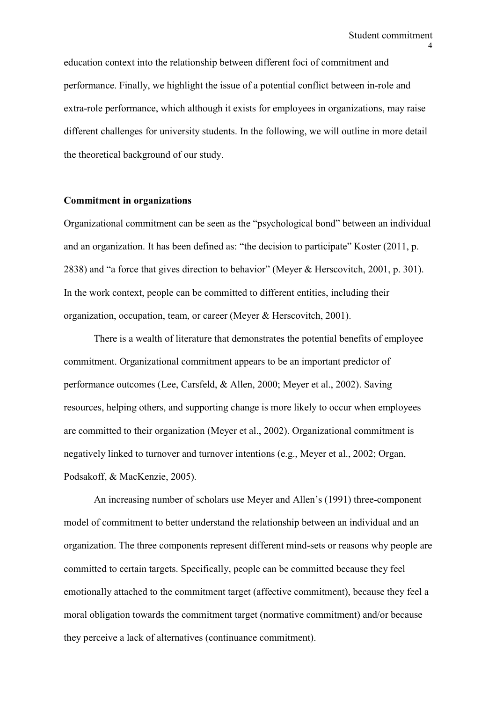education context into the relationship between different foci of commitment and performance. Finally, we highlight the issue of a potential conflict between in-role and extra-role performance, which although it exists for employees in organizations, may raise different challenges for university students. In the following, we will outline in more detail the theoretical background of our study.

## **Commitment in organizations**

Organizational commitment can be seen as the "psychological bond" between an individual and an organization. It has been defined as: "the decision to participate" Koster (2011, p. 2838) and "a force that gives direction to behavior" (Meyer & Herscovitch, 2001, p. 301). In the work context, people can be committed to different entities, including their organization, occupation, team, or career (Meyer & Herscovitch, 2001).

There is a wealth of literature that demonstrates the potential benefits of employee commitment. Organizational commitment appears to be an important predictor of performance outcomes (Lee, Carsfeld, & Allen, 2000; Meyer et al., 2002). Saving resources, helping others, and supporting change is more likely to occur when employees are committed to their organization (Meyer et al., 2002). Organizational commitment is negatively linked to turnover and turnover intentions (e.g., Meyer et al., 2002; Organ, Podsakoff, & MacKenzie, 2005).

An increasing number of scholars use Meyer and Allen's (1991) three-component model of commitment to better understand the relationship between an individual and an organization. The three components represent different mind-sets or reasons why people are committed to certain targets. Specifically, people can be committed because they feel emotionally attached to the commitment target (affective commitment), because they feel a moral obligation towards the commitment target (normative commitment) and/or because they perceive a lack of alternatives (continuance commitment).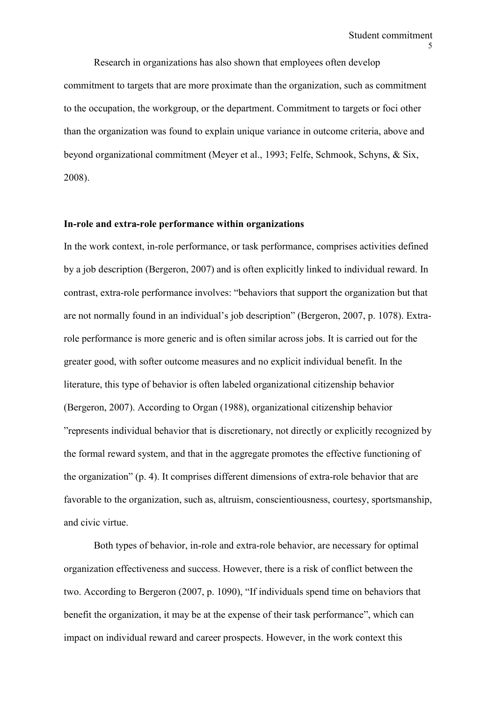Research in organizations has also shown that employees often develop commitment to targets that are more proximate than the organization, such as commitment to the occupation, the workgroup, or the department. Commitment to targets or foci other than the organization was found to explain unique variance in outcome criteria, above and beyond organizational commitment (Meyer et al., 1993; Felfe, Schmook, Schyns, & Six, 2008).

# **In-role and extra-role performance within organizations**

In the work context, in-role performance, or task performance, comprises activities defined by a job description (Bergeron, 2007) and is often explicitly linked to individual reward. In contrast, extra-role performance involves: "behaviors that support the organization but that are not normally found in an individual's job description" (Bergeron, 2007, p. 1078). Extrarole performance is more generic and is often similar across jobs. It is carried out for the greater good, with softer outcome measures and no explicit individual benefit. In the literature, this type of behavior is often labeled organizational citizenship behavior (Bergeron, 2007). According to Organ (1988), organizational citizenship behavior "represents individual behavior that is discretionary, not directly or explicitly recognized by the formal reward system, and that in the aggregate promotes the effective functioning of the organization" (p. 4). It comprises different dimensions of extra-role behavior that are favorable to the organization, such as, altruism, conscientiousness, courtesy, sportsmanship, and civic virtue.

Both types of behavior, in-role and extra-role behavior, are necessary for optimal organization effectiveness and success. However, there is a risk of conflict between the two. According to Bergeron (2007, p. 1090), "If individuals spend time on behaviors that benefit the organization, it may be at the expense of their task performance", which can impact on individual reward and career prospects. However, in the work context this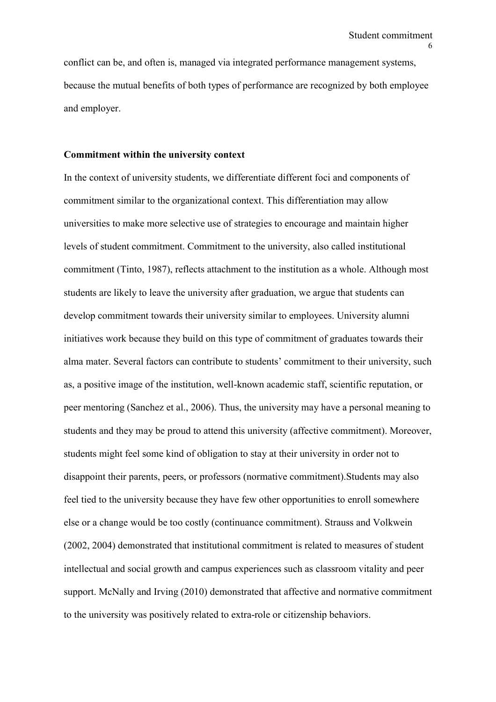conflict can be, and often is, managed via integrated performance management systems, because the mutual benefits of both types of performance are recognized by both employee and employer.

# **Commitment within the university context**

In the context of university students, we differentiate different foci and components of commitment similar to the organizational context. This differentiation may allow universities to make more selective use of strategies to encourage and maintain higher levels of student commitment. Commitment to the university, also called institutional commitment (Tinto, 1987), reflects attachment to the institution as a whole. Although most students are likely to leave the university after graduation, we argue that students can develop commitment towards their university similar to employees. University alumni initiatives work because they build on this type of commitment of graduates towards their alma mater. Several factors can contribute to students' commitment to their university, such as, a positive image of the institution, well-known academic staff, scientific reputation, or peer mentoring (Sanchez et al., 2006). Thus, the university may have a personal meaning to students and they may be proud to attend this university (affective commitment). Moreover, students might feel some kind of obligation to stay at their university in order not to disappoint their parents, peers, or professors (normative commitment).Students may also feel tied to the university because they have few other opportunities to enroll somewhere else or a change would be too costly (continuance commitment). Strauss and Volkwein (2002, 2004) demonstrated that institutional commitment is related to measures of student intellectual and social growth and campus experiences such as classroom vitality and peer support. McNally and Irving (2010) demonstrated that affective and normative commitment to the university was positively related to extra-role or citizenship behaviors.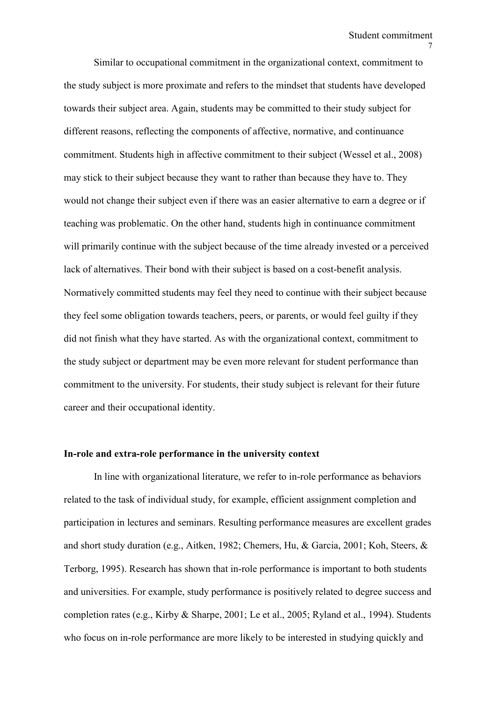Similar to occupational commitment in the organizational context, commitment to the study subject is more proximate and refers to the mindset that students have developed towards their subject area. Again, students may be committed to their study subject for different reasons, reflecting the components of affective, normative, and continuance commitment. Students high in affective commitment to their subject (Wessel et al., 2008) may stick to their subject because they want to rather than because they have to. They would not change their subject even if there was an easier alternative to earn a degree or if teaching was problematic. On the other hand, students high in continuance commitment will primarily continue with the subject because of the time already invested or a perceived lack of alternatives. Their bond with their subject is based on a cost-benefit analysis. Normatively committed students may feel they need to continue with their subject because they feel some obligation towards teachers, peers, or parents, or would feel guilty if they did not finish what they have started. As with the organizational context, commitment to the study subject or department may be even more relevant for student performance than commitment to the university. For students, their study subject is relevant for their future career and their occupational identity.

## **In-role and extra-role performance in the university context**

In line with organizational literature, we refer to in-role performance as behaviors related to the task of individual study, for example, efficient assignment completion and participation in lectures and seminars. Resulting performance measures are excellent grades and short study duration (e.g., Aitken, 1982; Chemers, Hu, & Garcia, 2001; Koh, Steers, & Terborg, 1995). Research has shown that in-role performance is important to both students and universities. For example, study performance is positively related to degree success and completion rates (e.g., Kirby & Sharpe, 2001; Le et al., 2005; Ryland et al., 1994). Students who focus on in-role performance are more likely to be interested in studying quickly and

7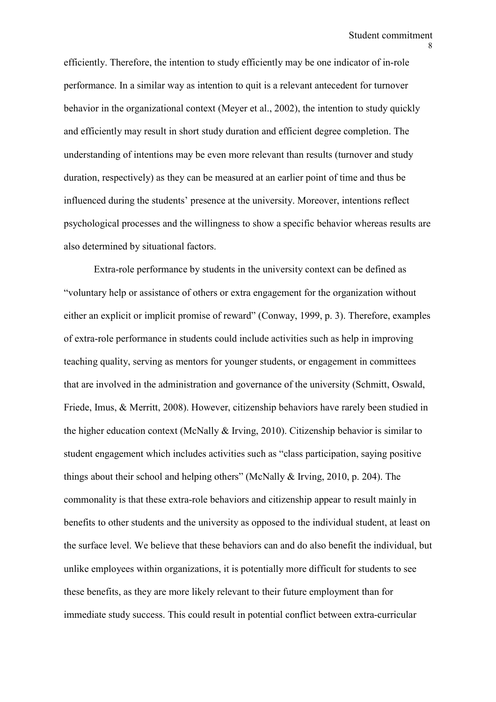efficiently. Therefore, the intention to study efficiently may be one indicator of in-role performance. In a similar way as intention to quit is a relevant antecedent for turnover behavior in the organizational context (Meyer et al., 2002), the intention to study quickly and efficiently may result in short study duration and efficient degree completion. The understanding of intentions may be even more relevant than results (turnover and study duration, respectively) as they can be measured at an earlier point of time and thus be influenced during the students' presence at the university. Moreover, intentions reflect psychological processes and the willingness to show a specific behavior whereas results are also determined by situational factors.

Extra-role performance by students in the university context can be defined as "voluntary help or assistance of others or extra engagement for the organization without either an explicit or implicit promise of reward" (Conway, 1999, p. 3). Therefore, examples of extra-role performance in students could include activities such as help in improving teaching quality, serving as mentors for younger students, or engagement in committees that are involved in the administration and governance of the university (Schmitt, Oswald, Friede, Imus, & Merritt, 2008). However, citizenship behaviors have rarely been studied in the higher education context (McNally & Irving, 2010). Citizenship behavior is similar to student engagement which includes activities such as "class participation, saying positive things about their school and helping others" (McNally & Irving, 2010, p. 204). The commonality is that these extra-role behaviors and citizenship appear to result mainly in benefits to other students and the university as opposed to the individual student, at least on the surface level. We believe that these behaviors can and do also benefit the individual, but unlike employees within organizations, it is potentially more difficult for students to see these benefits, as they are more likely relevant to their future employment than for immediate study success. This could result in potential conflict between extra-curricular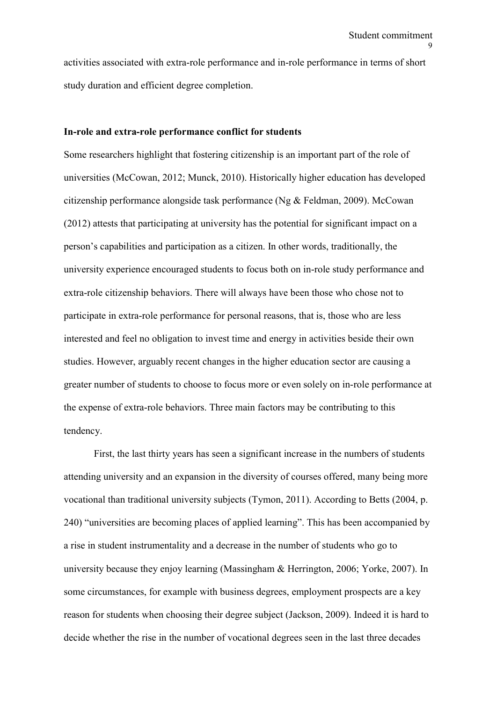activities associated with extra-role performance and in-role performance in terms of short study duration and efficient degree completion.

## **In-role and extra-role performance conflict for students**

Some researchers highlight that fostering citizenship is an important part of the role of universities (McCowan, 2012; Munck, 2010). Historically higher education has developed citizenship performance alongside task performance (Ng & Feldman, 2009). McCowan (2012) attests that participating at university has the potential for significant impact on a person's capabilities and participation as a citizen. In other words, traditionally, the university experience encouraged students to focus both on in-role study performance and extra-role citizenship behaviors. There will always have been those who chose not to participate in extra-role performance for personal reasons, that is, those who are less interested and feel no obligation to invest time and energy in activities beside their own studies. However, arguably recent changes in the higher education sector are causing a greater number of students to choose to focus more or even solely on in-role performance at the expense of extra-role behaviors. Three main factors may be contributing to this tendency.

First, the last thirty years has seen a significant increase in the numbers of students attending university and an expansion in the diversity of courses offered, many being more vocational than traditional university subjects (Tymon, 2011). According to Betts (2004, p. 240) "universities are becoming places of applied learning". This has been accompanied by a rise in student instrumentality and a decrease in the number of students who go to university because they enjoy learning (Massingham & Herrington, 2006; Yorke, 2007). In some circumstances, for example with business degrees, employment prospects are a key reason for students when choosing their degree subject (Jackson, 2009). Indeed it is hard to decide whether the rise in the number of vocational degrees seen in the last three decades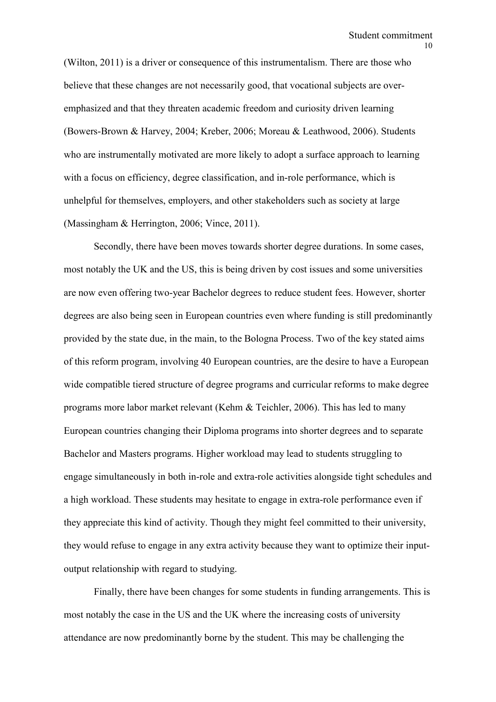(Wilton, 2011) is a driver or consequence of this instrumentalism. There are those who believe that these changes are not necessarily good, that vocational subjects are overemphasized and that they threaten academic freedom and curiosity driven learning (Bowers-Brown & Harvey, 2004; Kreber, 2006; Moreau & Leathwood, 2006). Students who are instrumentally motivated are more likely to adopt a surface approach to learning with a focus on efficiency, degree classification, and in-role performance, which is unhelpful for themselves, employers, and other stakeholders such as society at large (Massingham & Herrington, 2006; Vince, 2011).

Secondly, there have been moves towards shorter degree durations. In some cases, most notably the UK and the US, this is being driven by cost issues and some universities are now even offering two-year Bachelor degrees to reduce student fees. However, shorter degrees are also being seen in European countries even where funding is still predominantly provided by the state due, in the main, to the Bologna Process. Two of the key stated aims of this reform program, involving 40 European countries, are the desire to have a European wide compatible tiered structure of degree programs and curricular reforms to make degree programs more labor market relevant (Kehm & Teichler, 2006). This has led to many European countries changing their Diploma programs into shorter degrees and to separate Bachelor and Masters programs. Higher workload may lead to students struggling to engage simultaneously in both in-role and extra-role activities alongside tight schedules and a high workload. These students may hesitate to engage in extra-role performance even if they appreciate this kind of activity. Though they might feel committed to their university, they would refuse to engage in any extra activity because they want to optimize their inputoutput relationship with regard to studying.

Finally, there have been changes for some students in funding arrangements. This is most notably the case in the US and the UK where the increasing costs of university attendance are now predominantly borne by the student. This may be challenging the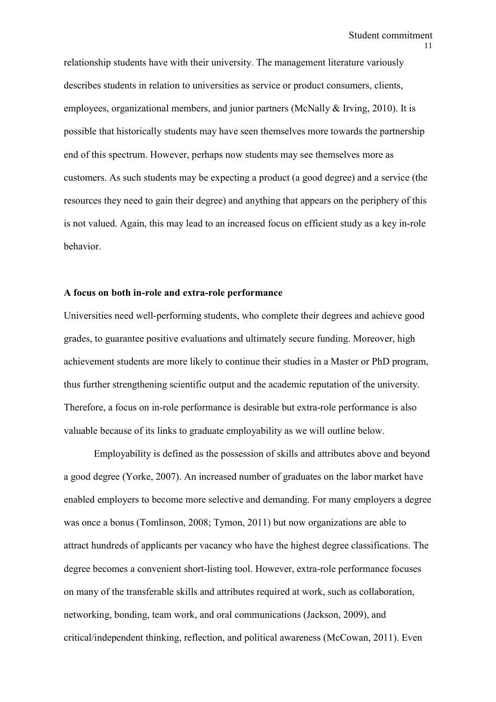relationship students have with their university. The management literature variously describes students in relation to universities as service or product consumers, clients, employees, organizational members, and junior partners (McNally & Irving, 2010). It is possible that historically students may have seen themselves more towards the partnership end of this spectrum. However, perhaps now students may see themselves more as customers. As such students may be expecting a product (a good degree) and a service (the resources they need to gain their degree) and anything that appears on the periphery of this is not valued. Again, this may lead to an increased focus on efficient study as a key in-role behavior.

## **A focus on both in-role and extra-role performance**

Universities need well-performing students, who complete their degrees and achieve good grades, to guarantee positive evaluations and ultimately secure funding. Moreover, high achievement students are more likely to continue their studies in a Master or PhD program, thus further strengthening scientific output and the academic reputation of the university. Therefore, a focus on in-role performance is desirable but extra-role performance is also valuable because of its links to graduate employability as we will outline below.

Employability is defined as the possession of skills and attributes above and beyond a good degree (Yorke, 2007). An increased number of graduates on the labor market have enabled employers to become more selective and demanding. For many employers a degree was once a bonus (Tomlinson, 2008; Tymon, 2011) but now organizations are able to attract hundreds of applicants per vacancy who have the highest degree classifications. The degree becomes a convenient short-listing tool. However, extra-role performance focuses on many of the transferable skills and attributes required at work, such as collaboration, networking, bonding, team work, and oral communications (Jackson, 2009), and critical/independent thinking, reflection, and political awareness (McCowan, 2011). Even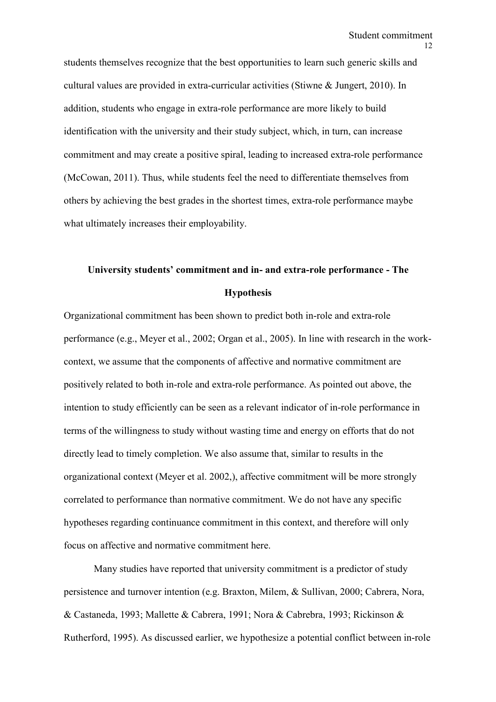students themselves recognize that the best opportunities to learn such generic skills and cultural values are provided in extra-curricular activities (Stiwne & Jungert, 2010). In addition, students who engage in extra-role performance are more likely to build identification with the university and their study subject, which, in turn, can increase commitment and may create a positive spiral, leading to increased extra-role performance (McCowan, 2011). Thus, while students feel the need to differentiate themselves from others by achieving the best grades in the shortest times, extra-role performance maybe what ultimately increases their employability.

# **University students' commitment and in- and extra-role performance - The Hypothesis**

Organizational commitment has been shown to predict both in-role and extra-role performance (e.g., Meyer et al., 2002; Organ et al., 2005). In line with research in the workcontext, we assume that the components of affective and normative commitment are positively related to both in-role and extra-role performance. As pointed out above, the intention to study efficiently can be seen as a relevant indicator of in-role performance in terms of the willingness to study without wasting time and energy on efforts that do not directly lead to timely completion. We also assume that, similar to results in the organizational context (Meyer et al. 2002,), affective commitment will be more strongly correlated to performance than normative commitment. We do not have any specific hypotheses regarding continuance commitment in this context, and therefore will only focus on affective and normative commitment here.

Many studies have reported that university commitment is a predictor of study persistence and turnover intention (e.g. Braxton, Milem, & Sullivan, 2000; Cabrera, Nora, & Castaneda, 1993; Mallette & Cabrera, 1991; Nora & Cabrebra, 1993; Rickinson & Rutherford, 1995). As discussed earlier, we hypothesize a potential conflict between in-role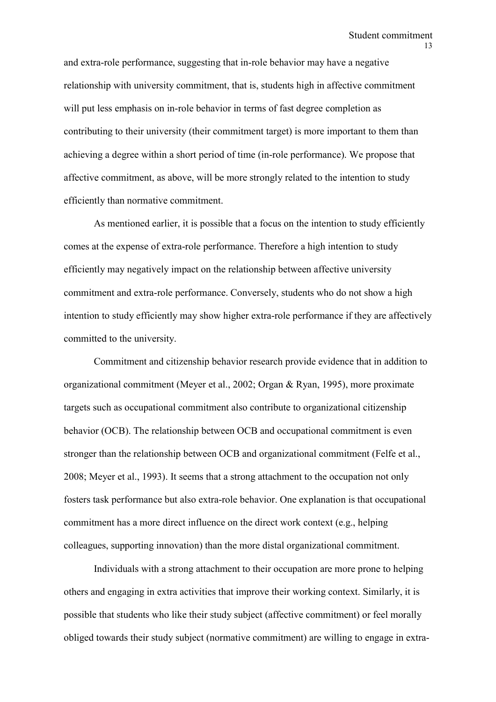and extra-role performance, suggesting that in-role behavior may have a negative relationship with university commitment, that is, students high in affective commitment will put less emphasis on in-role behavior in terms of fast degree completion as contributing to their university (their commitment target) is more important to them than achieving a degree within a short period of time (in-role performance). We propose that affective commitment, as above, will be more strongly related to the intention to study efficiently than normative commitment.

As mentioned earlier, it is possible that a focus on the intention to study efficiently comes at the expense of extra-role performance. Therefore a high intention to study efficiently may negatively impact on the relationship between affective university commitment and extra-role performance. Conversely, students who do not show a high intention to study efficiently may show higher extra-role performance if they are affectively committed to the university.

Commitment and citizenship behavior research provide evidence that in addition to organizational commitment (Meyer et al., 2002; Organ & Ryan, 1995), more proximate targets such as occupational commitment also contribute to organizational citizenship behavior (OCB). The relationship between OCB and occupational commitment is even stronger than the relationship between OCB and organizational commitment (Felfe et al., 2008; Meyer et al., 1993). It seems that a strong attachment to the occupation not only fosters task performance but also extra-role behavior. One explanation is that occupational commitment has a more direct influence on the direct work context (e.g., helping colleagues, supporting innovation) than the more distal organizational commitment.

Individuals with a strong attachment to their occupation are more prone to helping others and engaging in extra activities that improve their working context. Similarly, it is possible that students who like their study subject (affective commitment) or feel morally obliged towards their study subject (normative commitment) are willing to engage in extra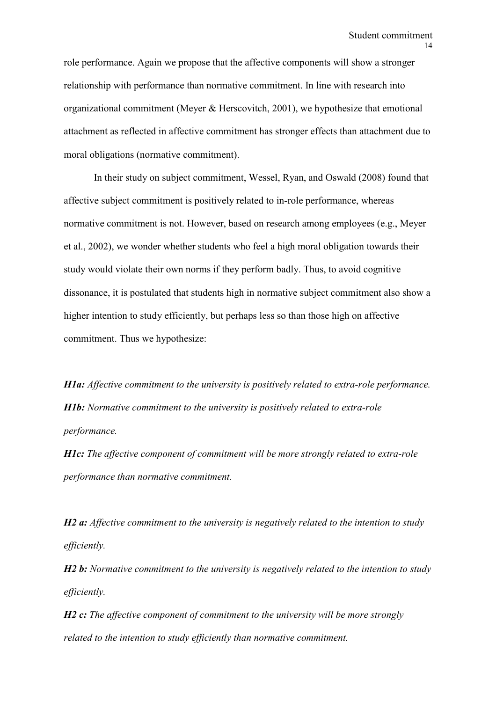role performance. Again we propose that the affective components will show a stronger relationship with performance than normative commitment. In line with research into organizational commitment (Meyer & Herscovitch, 2001), we hypothesize that emotional attachment as reflected in affective commitment has stronger effects than attachment due to moral obligations (normative commitment).

In their study on subject commitment, Wessel, Ryan, and Oswald (2008) found that affective subject commitment is positively related to in-role performance, whereas normative commitment is not. However, based on research among employees (e.g., Meyer et al., 2002), we wonder whether students who feel a high moral obligation towards their study would violate their own norms if they perform badly. Thus, to avoid cognitive dissonance, it is postulated that students high in normative subject commitment also show a higher intention to study efficiently, but perhaps less so than those high on affective commitment. Thus we hypothesize:

*H1a: Affective commitment to the university is positively related to extra-role performance. H1b: Normative commitment to the university is positively related to extra-role performance.* 

*H1c: The affective component of commitment will be more strongly related to extra-role performance than normative commitment.* 

*H2 a: Affective commitment to the university is negatively related to the intention to study efficiently.* 

*H2 b: Normative commitment to the university is negatively related to the intention to study efficiently.* 

*H2 c: The affective component of commitment to the university will be more strongly related to the intention to study efficiently than normative commitment.*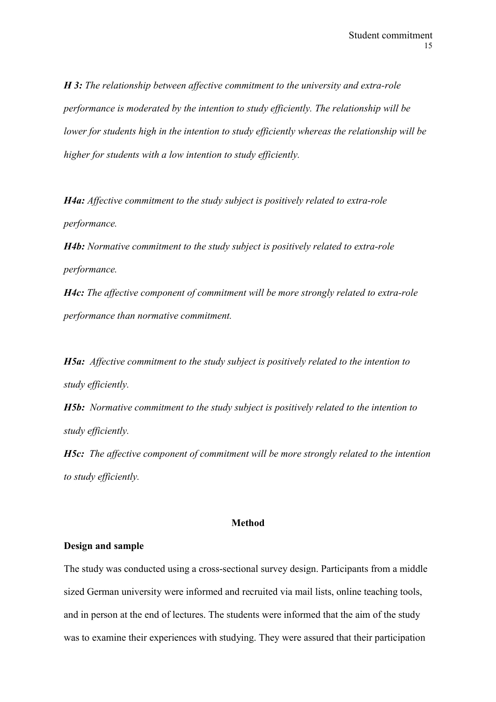*H 3: The relationship between affective commitment to the university and extra-role performance is moderated by the intention to study efficiently. The relationship will be lower for students high in the intention to study efficiently whereas the relationship will be higher for students with a low intention to study efficiently.* 

*H4a: Affective commitment to the study subject is positively related to extra-role performance.* 

*H4b: Normative commitment to the study subject is positively related to extra-role performance.* 

*H4c: The affective component of commitment will be more strongly related to extra-role performance than normative commitment.* 

*H5a: Affective commitment to the study subject is positively related to the intention to study efficiently.* 

*H5b: Normative commitment to the study subject is positively related to the intention to study efficiently.* 

*H5c: The affective component of commitment will be more strongly related to the intention to study efficiently.*

# **Method**

## **Design and sample**

The study was conducted using a cross-sectional survey design. Participants from a middle sized German university were informed and recruited via mail lists, online teaching tools, and in person at the end of lectures. The students were informed that the aim of the study was to examine their experiences with studying. They were assured that their participation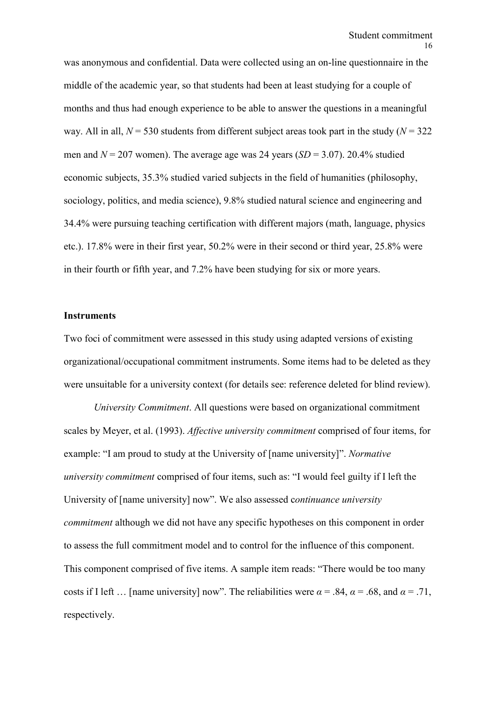was anonymous and confidential. Data were collected using an on-line questionnaire in the middle of the academic year, so that students had been at least studying for a couple of months and thus had enough experience to be able to answer the questions in a meaningful way. All in all,  $N = 530$  students from different subject areas took part in the study ( $N = 322$ ) men and  $N = 207$  women). The average age was 24 years (*SD* = 3.07). 20.4% studied economic subjects, 35.3% studied varied subjects in the field of humanities (philosophy, sociology, politics, and media science), 9.8% studied natural science and engineering and 34.4% were pursuing teaching certification with different majors (math, language, physics etc.). 17.8% were in their first year, 50.2% were in their second or third year, 25.8% were in their fourth or fifth year, and 7.2% have been studying for six or more years.

## **Instruments**

Two foci of commitment were assessed in this study using adapted versions of existing organizational/occupational commitment instruments. Some items had to be deleted as they were unsuitable for a university context (for details see: reference deleted for blind review).

*University Commitment*. All questions were based on organizational commitment scales by Meyer, et al. (1993). *Affective university commitment* comprised of four items, for example: "I am proud to study at the University of [name university]". *Normative university commitment* comprised of four items, such as: "I would feel guilty if I left the University of [name university] now". We also assessed c*ontinuance university commitment* although we did not have any specific hypotheses on this component in order to assess the full commitment model and to control for the influence of this component. This component comprised of five items. A sample item reads: "There would be too many costs if I left ... [name university] now". The reliabilities were  $\alpha = .84$ ,  $\alpha = .68$ , and  $\alpha = .71$ , respectively.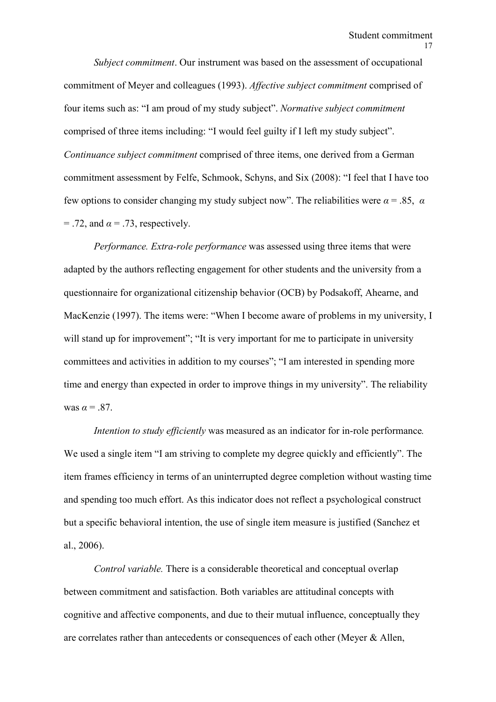*Subject commitment*. Our instrument was based on the assessment of occupational commitment of Meyer and colleagues (1993). *Affective subject commitment* comprised of four items such as: "I am proud of my study subject". *Normative subject commitment* comprised of three items including: "I would feel guilty if I left my study subject". *Continuance subject commitment* comprised of three items, one derived from a German commitment assessment by Felfe, Schmook, Schyns, and Six (2008): "I feel that I have too few options to consider changing my study subject now". The reliabilities were  $\alpha = .85$ ,  $\alpha$  $=$  .72, and  $\alpha = .73$ , respectively.

*Performance. Extra-role performance* was assessed using three items that were adapted by the authors reflecting engagement for other students and the university from a questionnaire for organizational citizenship behavior (OCB) by Podsakoff, Ahearne, and MacKenzie (1997). The items were: "When I become aware of problems in my university, I will stand up for improvement"; "It is very important for me to participate in university committees and activities in addition to my courses"; "I am interested in spending more time and energy than expected in order to improve things in my university". The reliability was  $\alpha = 87$ .

*Intention to study efficiently* was measured as an indicator for in-role performance*.*  We used a single item "I am striving to complete my degree quickly and efficiently". The item frames efficiency in terms of an uninterrupted degree completion without wasting time and spending too much effort. As this indicator does not reflect a psychological construct but a specific behavioral intention, the use of single item measure is justified (Sanchez et al., 2006).

*Control variable.* There is a considerable theoretical and conceptual overlap between commitment and satisfaction. Both variables are attitudinal concepts with cognitive and affective components, and due to their mutual influence, conceptually they are correlates rather than antecedents or consequences of each other (Meyer & Allen,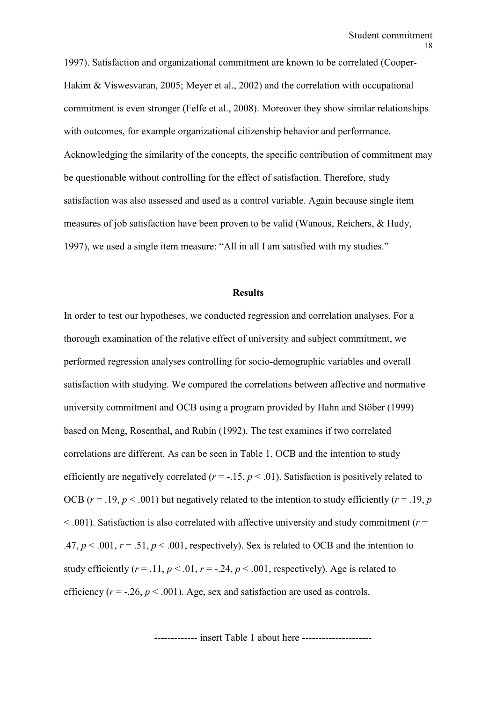1997). Satisfaction and organizational commitment are known to be correlated (Cooper-Hakim & Viswesvaran, 2005; Meyer et al., 2002) and the correlation with occupational commitment is even stronger (Felfe et al., 2008). Moreover they show similar relationships with outcomes, for example organizational citizenship behavior and performance. Acknowledging the similarity of the concepts, the specific contribution of commitment may be questionable without controlling for the effect of satisfaction. Therefore, study satisfaction was also assessed and used as a control variable. Again because single item measures of job satisfaction have been proven to be valid (Wanous, Reichers, & Hudy, 1997), we used a single item measure: "All in all I am satisfied with my studies."

### **Results**

In order to test our hypotheses, we conducted regression and correlation analyses. For a thorough examination of the relative effect of university and subject commitment, we performed regression analyses controlling for socio-demographic variables and overall satisfaction with studying. We compared the correlations between affective and normative university commitment and OCB using a program provided by Hahn and Stöber (1999) based on Meng, Rosenthal, and Rubin (1992). The test examines if two correlated correlations are different. As can be seen in Table 1, OCB and the intention to study efficiently are negatively correlated  $(r = -15, p < 0.01)$ . Satisfaction is positively related to OCB ( $r = .19$ ,  $p < .001$ ) but negatively related to the intention to study efficiently ( $r = .19$ ,  $p$  $\leq$  001). Satisfaction is also correlated with affective university and study commitment ( $r =$ .47,  $p < .001$ ,  $r = .51$ ,  $p < .001$ , respectively). Sex is related to OCB and the intention to study efficiently  $(r = .11, p < .01, r = -.24, p < .001$ , respectively). Age is related to efficiency  $(r = -.26, p < .001)$ . Age, sex and satisfaction are used as controls.

------------- insert Table 1 about here ---------------------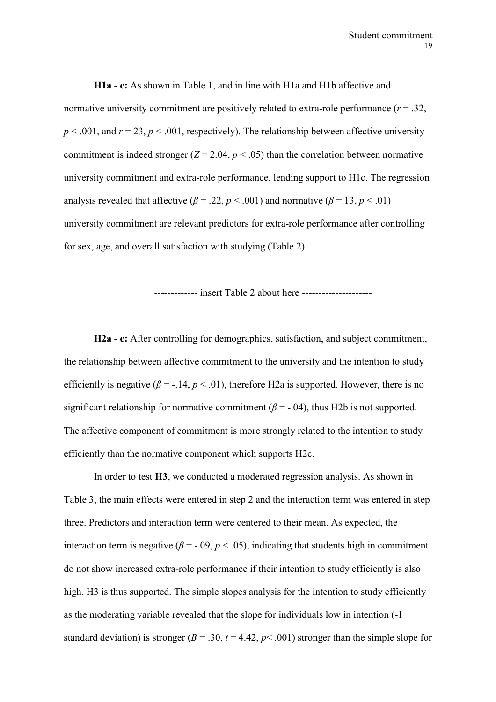**H1a - c:** As shown in Table 1, and in line with H1a and H1b affective and normative university commitment are positively related to extra-role performance  $(r = .32, )$  $p < .001$ , and  $r = 23$ ,  $p < .001$ , respectively). The relationship between affective university commitment is indeed stronger  $(Z = 2.04, p < .05)$  than the correlation between normative university commitment and extra-role performance, lending support to H1c. The regression analysis revealed that affective ( $\beta = .22$ ,  $p < .001$ ) and normative ( $\beta = .13$ ,  $p < .01$ ) university commitment are relevant predictors for extra-role performance after controlling for sex, age, and overall satisfaction with studying (Table 2).

------------- insert Table 2 about here ---------------------

**H2a - c:** After controlling for demographics, satisfaction, and subject commitment, the relationship between affective commitment to the university and the intention to study efficiently is negative ( $\beta$  = -.14,  $p < .01$ ), therefore H2a is supported. However, there is no significant relationship for normative commitment  $(\beta = -0.04)$ , thus H2b is not supported. The affective component of commitment is more strongly related to the intention to study efficiently than the normative component which supports H2c.

In order to test **H3**, we conducted a moderated regression analysis. As shown in Table 3, the main effects were entered in step 2 and the interaction term was entered in step three. Predictors and interaction term were centered to their mean. As expected, the interaction term is negative ( $\beta$  = -.09,  $p$  < .05), indicating that students high in commitment do not show increased extra-role performance if their intention to study efficiently is also high. H<sub>3</sub> is thus supported. The simple slopes analysis for the intention to study efficiently as the moderating variable revealed that the slope for individuals low in intention (-1 standard deviation) is stronger ( $B = .30$ ,  $t = 4.42$ ,  $p < .001$ ) stronger than the simple slope for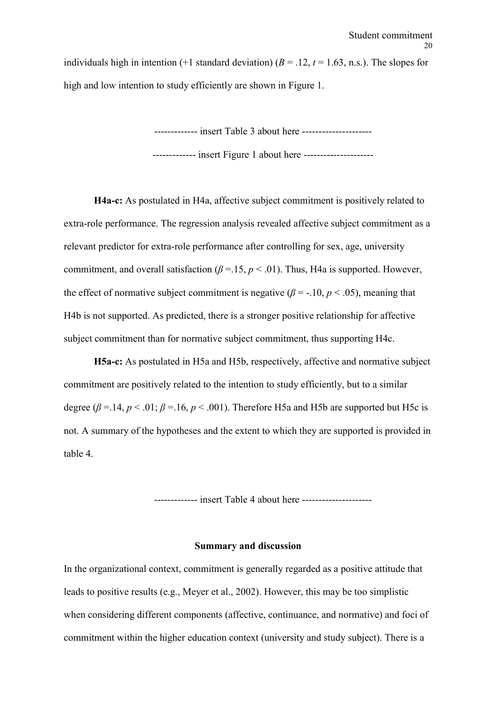individuals high in intention (+1 standard deviation)  $(B = .12, t = 1.63, n.s.).$  The slopes for high and low intention to study efficiently are shown in Figure 1.

> ------------- insert Table 3 about here --------------------- ------------- insert Figure 1 about here ---------------------

**H4a-c:** As postulated in H4a, affective subject commitment is positively related to extra-role performance. The regression analysis revealed affective subject commitment as a relevant predictor for extra-role performance after controlling for sex, age, university commitment, and overall satisfaction ( $\beta = 15$ ,  $p < .01$ ). Thus, H4a is supported. However, the effect of normative subject commitment is negative  $(\beta = -10, p < 0.05)$ , meaning that H4b is not supported. As predicted, there is a stronger positive relationship for affective subject commitment than for normative subject commitment, thus supporting H4c.

**H5a-c:** As postulated in H5a and H5b, respectively, affective and normative subject commitment are positively related to the intention to study efficiently, but to a similar degree ( $\beta$  = .14,  $p < .01$ ;  $\beta$  = .16,  $p < .001$ ). Therefore H5a and H5b are supported but H5c is not. A summary of the hypotheses and the extent to which they are supported is provided in table 4.

------------- insert Table 4 about here ---------------------

## **Summary and discussion**

In the organizational context, commitment is generally regarded as a positive attitude that leads to positive results (e.g., Meyer et al., 2002). However, this may be too simplistic when considering different components (affective, continuance, and normative) and foci of commitment within the higher education context (university and study subject). There is a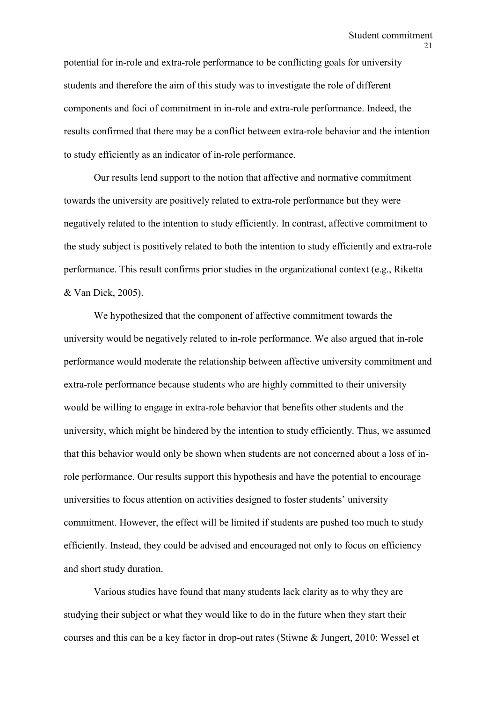potential for in-role and extra-role performance to be conflicting goals for university students and therefore the aim of this study was to investigate the role of different components and foci of commitment in in-role and extra-role performance. Indeed, the results confirmed that there may be a conflict between extra-role behavior and the intention to study efficiently as an indicator of in-role performance.

Our results lend support to the notion that affective and normative commitment towards the university are positively related to extra-role performance but they were negatively related to the intention to study efficiently. In contrast, affective commitment to the study subject is positively related to both the intention to study efficiently and extra-role performance. This result confirms prior studies in the organizational context (e.g., Riketta & Van Dick, 2005).

We hypothesized that the component of affective commitment towards the university would be negatively related to in-role performance. We also argued that in-role performance would moderate the relationship between affective university commitment and extra-role performance because students who are highly committed to their university would be willing to engage in extra-role behavior that benefits other students and the university, which might be hindered by the intention to study efficiently. Thus, we assumed that this behavior would only be shown when students are not concerned about a loss of inrole performance. Our results support this hypothesis and have the potential to encourage universities to focus attention on activities designed to foster students' university commitment. However, the effect will be limited if students are pushed too much to study efficiently. Instead, they could be advised and encouraged not only to focus on efficiency and short study duration.

Various studies have found that many students lack clarity as to why they are studying their subject or what they would like to do in the future when they start their courses and this can be a key factor in drop-out rates (Stiwne & Jungert, 2010: Wessel et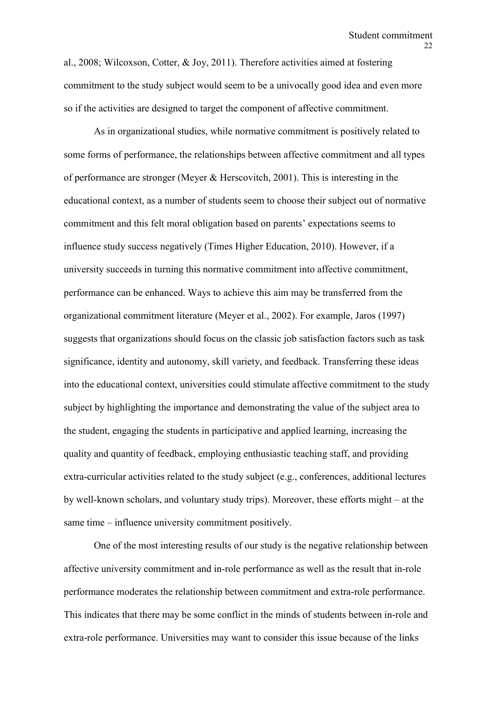al., 2008; Wilcoxson, Cotter, & Joy, 2011). Therefore activities aimed at fostering commitment to the study subject would seem to be a univocally good idea and even more so if the activities are designed to target the component of affective commitment.

As in organizational studies, while normative commitment is positively related to some forms of performance, the relationships between affective commitment and all types of performance are stronger (Meyer & Herscovitch, 2001). This is interesting in the educational context, as a number of students seem to choose their subject out of normative commitment and this felt moral obligation based on parents' expectations seems to influence study success negatively (Times Higher Education, 2010). However, if a university succeeds in turning this normative commitment into affective commitment, performance can be enhanced. Ways to achieve this aim may be transferred from the organizational commitment literature (Meyer et al., 2002). For example, Jaros (1997) suggests that organizations should focus on the classic job satisfaction factors such as task significance, identity and autonomy, skill variety, and feedback. Transferring these ideas into the educational context, universities could stimulate affective commitment to the study subject by highlighting the importance and demonstrating the value of the subject area to the student, engaging the students in participative and applied learning, increasing the quality and quantity of feedback, employing enthusiastic teaching staff, and providing extra-curricular activities related to the study subject (e.g., conferences, additional lectures by well-known scholars, and voluntary study trips). Moreover, these efforts might – at the same time – influence university commitment positively.

One of the most interesting results of our study is the negative relationship between affective university commitment and in-role performance as well as the result that in-role performance moderates the relationship between commitment and extra-role performance. This indicates that there may be some conflict in the minds of students between in-role and extra-role performance. Universities may want to consider this issue because of the links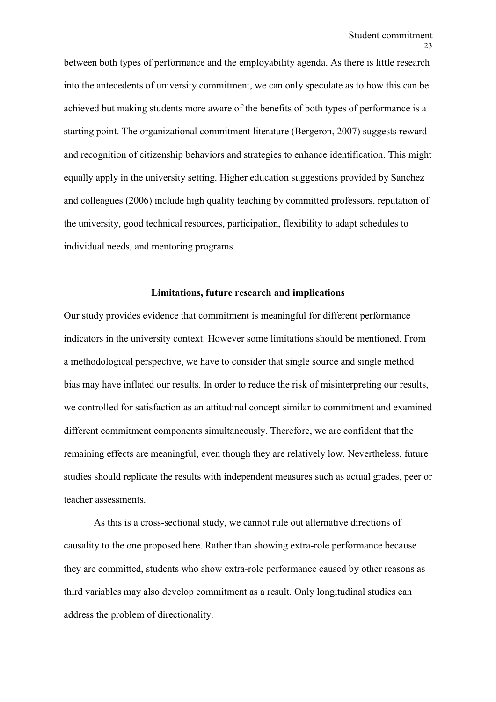between both types of performance and the employability agenda. As there is little research into the antecedents of university commitment, we can only speculate as to how this can be achieved but making students more aware of the benefits of both types of performance is a starting point. The organizational commitment literature (Bergeron, 2007) suggests reward and recognition of citizenship behaviors and strategies to enhance identification. This might equally apply in the university setting. Higher education suggestions provided by Sanchez and colleagues (2006) include high quality teaching by committed professors, reputation of the university, good technical resources, participation, flexibility to adapt schedules to individual needs, and mentoring programs.

## **Limitations, future research and implications**

Our study provides evidence that commitment is meaningful for different performance indicators in the university context. However some limitations should be mentioned. From a methodological perspective, we have to consider that single source and single method bias may have inflated our results. In order to reduce the risk of misinterpreting our results, we controlled for satisfaction as an attitudinal concept similar to commitment and examined different commitment components simultaneously. Therefore, we are confident that the remaining effects are meaningful, even though they are relatively low. Nevertheless, future studies should replicate the results with independent measures such as actual grades, peer or teacher assessments.

As this is a cross-sectional study, we cannot rule out alternative directions of causality to the one proposed here. Rather than showing extra-role performance because they are committed, students who show extra-role performance caused by other reasons as third variables may also develop commitment as a result. Only longitudinal studies can address the problem of directionality.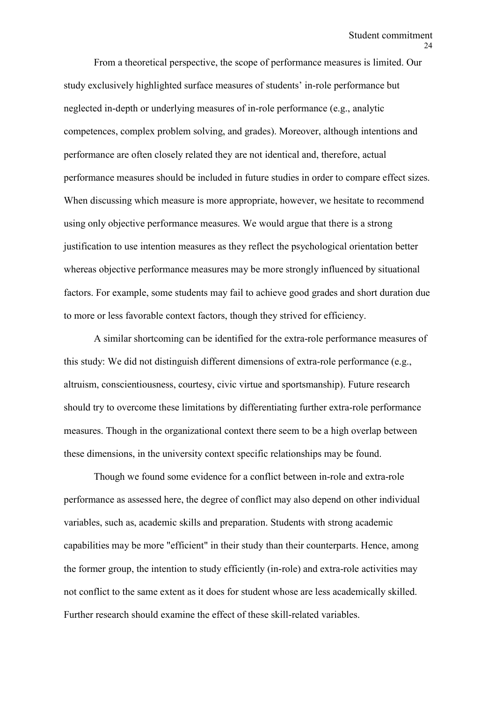From a theoretical perspective, the scope of performance measures is limited. Our study exclusively highlighted surface measures of students' in-role performance but neglected in-depth or underlying measures of in-role performance (e.g., analytic competences, complex problem solving, and grades). Moreover, although intentions and performance are often closely related they are not identical and, therefore, actual performance measures should be included in future studies in order to compare effect sizes. When discussing which measure is more appropriate, however, we hesitate to recommend using only objective performance measures. We would argue that there is a strong justification to use intention measures as they reflect the psychological orientation better whereas objective performance measures may be more strongly influenced by situational factors. For example, some students may fail to achieve good grades and short duration due to more or less favorable context factors, though they strived for efficiency.

A similar shortcoming can be identified for the extra-role performance measures of this study: We did not distinguish different dimensions of extra-role performance (e.g., altruism, conscientiousness, courtesy, civic virtue and sportsmanship). Future research should try to overcome these limitations by differentiating further extra-role performance measures. Though in the organizational context there seem to be a high overlap between these dimensions, in the university context specific relationships may be found.

Though we found some evidence for a conflict between in-role and extra-role performance as assessed here, the degree of conflict may also depend on other individual variables, such as, academic skills and preparation. Students with strong academic capabilities may be more "efficient" in their study than their counterparts. Hence, among the former group, the intention to study efficiently (in-role) and extra-role activities may not conflict to the same extent as it does for student whose are less academically skilled. Further research should examine the effect of these skill-related variables.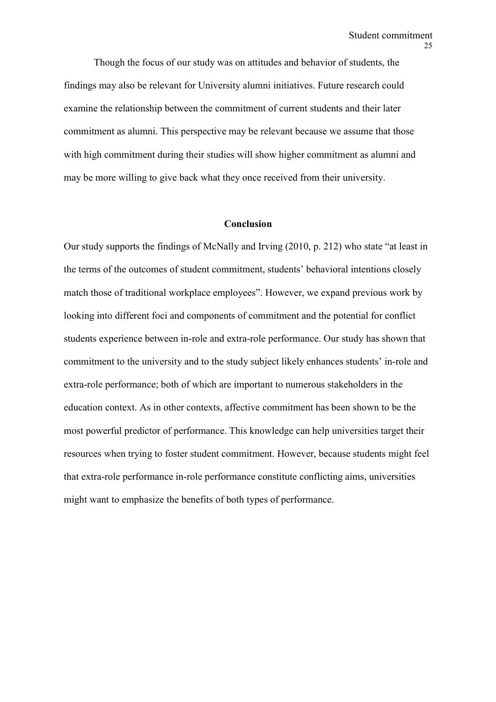Though the focus of our study was on attitudes and behavior of students, the findings may also be relevant for University alumni initiatives. Future research could examine the relationship between the commitment of current students and their later commitment as alumni. This perspective may be relevant because we assume that those with high commitment during their studies will show higher commitment as alumni and may be more willing to give back what they once received from their university.

## **Conclusion**

Our study supports the findings of McNally and Irving (2010, p. 212) who state "at least in the terms of the outcomes of student commitment, students' behavioral intentions closely match those of traditional workplace employees". However, we expand previous work by looking into different foci and components of commitment and the potential for conflict students experience between in-role and extra-role performance. Our study has shown that commitment to the university and to the study subject likely enhances students' in-role and extra-role performance; both of which are important to numerous stakeholders in the education context. As in other contexts, affective commitment has been shown to be the most powerful predictor of performance. This knowledge can help universities target their resources when trying to foster student commitment. However, because students might feel that extra-role performance in-role performance constitute conflicting aims, universities might want to emphasize the benefits of both types of performance.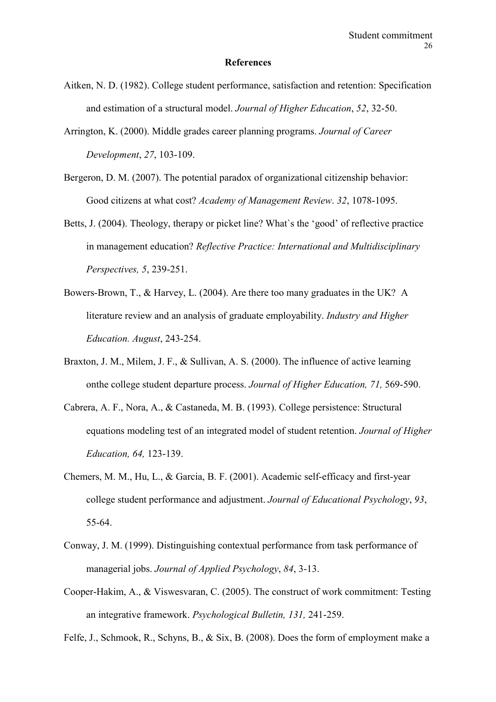# **References**

- Aitken, N. D. (1982). College student performance, satisfaction and retention: Specification and estimation of a structural model. *Journal of Higher Education*, *52*, 32-50.
- Arrington, K. (2000). Middle grades career planning programs. *Journal of Career Development*, *27*, 103-109.
- Bergeron, D. M. (2007). The potential paradox of organizational citizenship behavior: Good citizens at what cost? *Academy of Management Review*. *32*, 1078-1095.
- Betts, J. (2004). Theology, therapy or picket line? What`s the 'good' of reflective practice in management education? *Reflective Practice: International and Multidisciplinary Perspectives, 5*, 239-251.
- Bowers-Brown, T., & Harvey, L. (2004). Are there too many graduates in the UK? A literature review and an analysis of graduate employability. *Industry and Higher Education. August*, 243-254.
- Braxton, J. M., Milem, J. F., & Sullivan, A. S. (2000). The influence of active learning onthe college student departure process. *Journal of Higher Education, 71,* 569-590.
- Cabrera, A. F., Nora, A., & Castaneda, M. B. (1993). College persistence: Structural equations modeling test of an integrated model of student retention. *Journal of Higher Education, 64,* 123-139.
- Chemers, M. M., Hu, L., & Garcia, B. F. (2001). Academic self-efficacy and first-year college student performance and adjustment. *Journal of Educational Psychology*, *93*, 55-64.
- Conway, J. M. (1999). Distinguishing contextual performance from task performance of managerial jobs. *Journal of Applied Psychology*, *84*, 3-13.
- Cooper-Hakim, A., & Viswesvaran, C. (2005). The construct of work commitment: Testing an integrative framework. *Psychological Bulletin, 131,* 241-259.

Felfe, J., Schmook, R., Schyns, B., & Six, B. (2008). Does the form of employment make a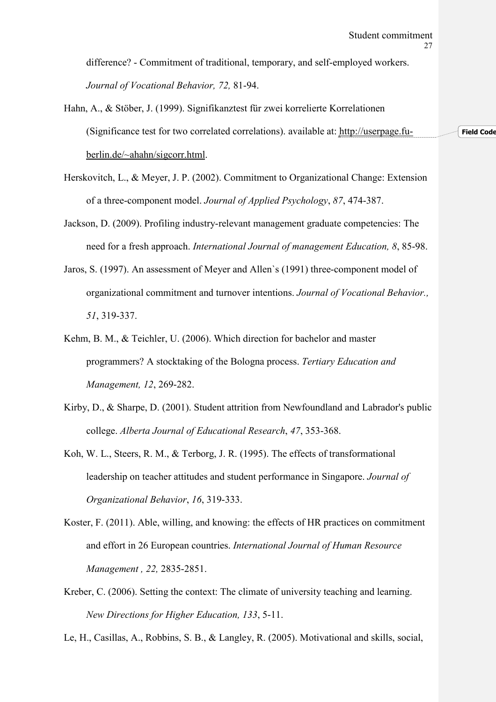difference? - Commitment of traditional, temporary, and self-employed workers. *Journal of Vocational Behavior, 72,* 81-94.

- Hahn, A., & Stöber, J. (1999). Signifikanztest für zwei korrelierte Korrelationen (Significance test for two correlated correlations). available at: http://userpage.fuberlin.de/~ahahn/sigcorr.html.
- Herskovitch, L., & Meyer, J. P. (2002). Commitment to Organizational Change: Extension of a three-component model. *Journal of Applied Psychology*, *87*, 474-387.
- Jackson, D. (2009). Profiling industry-relevant management graduate competencies: The need for a fresh approach. *International Journal of management Education, 8*, 85-98.
- Jaros, S. (1997). An assessment of Meyer and Allen`s (1991) three-component model of organizational commitment and turnover intentions. *Journal of Vocational Behavior., 51*, 319-337.
- Kehm, B. M., & Teichler, U. (2006). Which direction for bachelor and master programmers? A stocktaking of the Bologna process. *Tertiary Education and Management, 12*, 269-282.
- Kirby, D., & Sharpe, D. (2001). Student attrition from Newfoundland and Labrador's public college. *Alberta Journal of Educational Research*, *47*, 353-368.
- Koh, W. L., Steers, R. M., & Terborg, J. R. (1995). The effects of transformational leadership on teacher attitudes and student performance in Singapore. *Journal of Organizational Behavior*, *16*, 319-333.
- Koster, F. (2011). Able, willing, and knowing: the effects of HR practices on commitment and effort in 26 European countries. *International Journal of Human Resource Management , 22,* 2835-2851.
- Kreber, C. (2006). Setting the context: The climate of university teaching and learning. *New Directions for Higher Education, 133*, 5-11.

Le, H., Casillas, A., Robbins, S. B., & Langley, R. (2005). Motivational and skills, social,

**Field Code**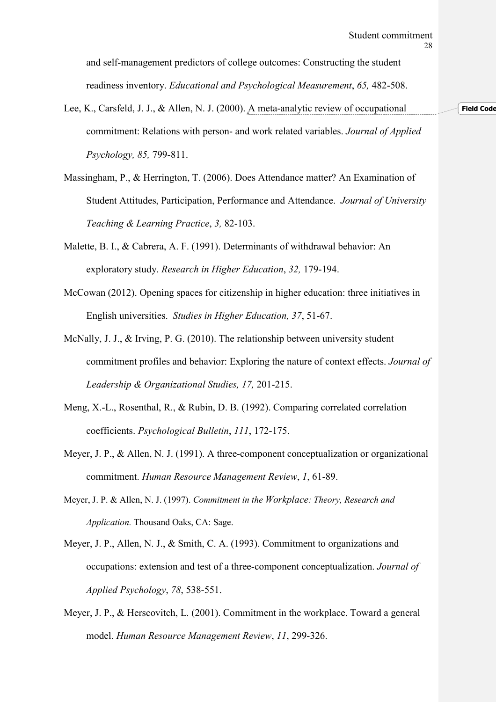and self-management predictors of college outcomes: Constructing the student readiness inventory. *Educational and Psychological Measurement*, *65,* 482-508.

Lee, K., Carsfeld, J. J., & Allen, N. J. (2000). A meta-analytic review of occupational commitment: Relations with person- and work related variables. *Journal of Applied Psychology, 85,* 799-811.

Massingham, P., & Herrington, T. (2006). Does Attendance matter? An Examination of Student Attitudes, Participation, Performance and Attendance. *Journal of University Teaching & Learning Practice*, *3,* 82-103.

- Malette, B. I., & Cabrera, A. F. (1991). Determinants of withdrawal behavior: An exploratory study. *Research in Higher Education*, *32,* 179-194.
- McCowan (2012). Opening spaces for citizenship in higher education: three initiatives in English universities. *Studies in Higher Education, 37*, 51-67.
- McNally, J. J., & Irving, P. G. (2010). The relationship between university student commitment profiles and behavior: Exploring the nature of context effects. *Journal of Leadership & Organizational Studies, 17,* 201-215.
- Meng, X.-L., Rosenthal, R., & Rubin, D. B. (1992). Comparing correlated correlation coefficients. *Psychological Bulletin*, *111*, 172-175.
- Meyer, J. P., & Allen, N. J. (1991). A three-component conceptualization or organizational commitment. *Human Resource Management Review*, *1*, 61-89.
- Meyer, J. P. & Allen, N. J. (1997). *Commitment in the Workplace: Theory, Research and Application.* Thousand Oaks, CA: Sage.
- Meyer, J. P., Allen, N. J., & Smith, C. A. (1993). Commitment to organizations and occupations: extension and test of a three-component conceptualization. *Journal of Applied Psychology*, *78*, 538-551.
- Meyer, J. P., & Herscovitch, L. (2001). Commitment in the workplace. Toward a general model. *Human Resource Management Review*, *11*, 299-326.

**Field Code**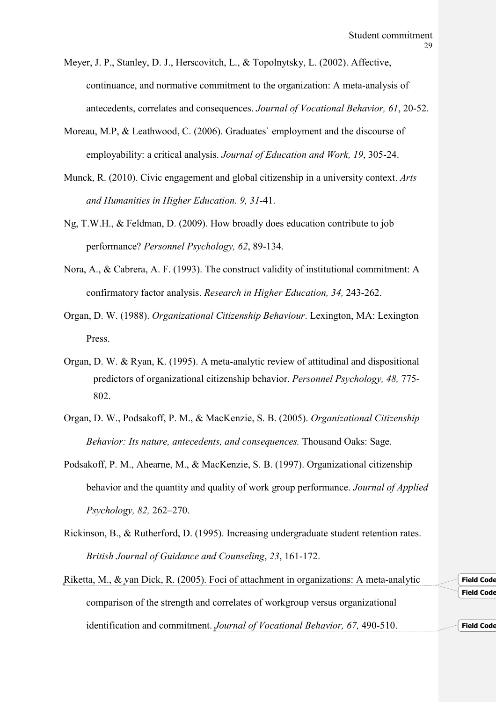- Meyer, J. P., Stanley, D. J., Herscovitch, L., & Topolnytsky, L. (2002). Affective, continuance, and normative commitment to the organization: A meta-analysis of antecedents, correlates and consequences. *Journal of Vocational Behavior, 61*, 20-52.
- Moreau, M.P, & Leathwood, C. (2006). Graduates` employment and the discourse of employability: a critical analysis. *Journal of Education and Work, 19*, 305-24.
- Munck, R. (2010). Civic engagement and global citizenship in a university context. *Arts and Humanities in Higher Education. 9, 31*-41.
- Ng, T.W.H., & Feldman, D. (2009). How broadly does education contribute to job performance? *Personnel Psychology, 62*, 89-134.
- Nora, A., & Cabrera, A. F. (1993). The construct validity of institutional commitment: A confirmatory factor analysis. *Research in Higher Education, 34,* 243-262.
- Organ, D. W. (1988). *Organizational Citizenship Behaviour*. Lexington, MA: Lexington Press.
- Organ, D. W. & Ryan, K. (1995). A meta-analytic review of attitudinal and dispositional predictors of organizational citizenship behavior. *Personnel Psychology, 48,* 775- 802.
- Organ, D. W., Podsakoff, P. M., & MacKenzie, S. B. (2005). *Organizational Citizenship Behavior: Its nature, antecedents, and consequences.* Thousand Oaks: Sage.
- Podsakoff, P. M., Ahearne, M., & MacKenzie, S. B. (1997). Organizational citizenship behavior and the quantity and quality of work group performance. *Journal of Applied Psychology, 82,* 262–270.
- Rickinson, B., & Rutherford, D. (1995). Increasing undergraduate student retention rates. *British Journal of Guidance and Counseling*, *23*, 161-172.
- Riketta, M., & van Dick, R. (2005). Foci of attachment in organizations: A meta-analytic comparison of the strength and correlates of workgroup versus organizational identification and commitment. *Journal of Vocational Behavior, 67,* 490-510. **Field Code Field Code Field Code**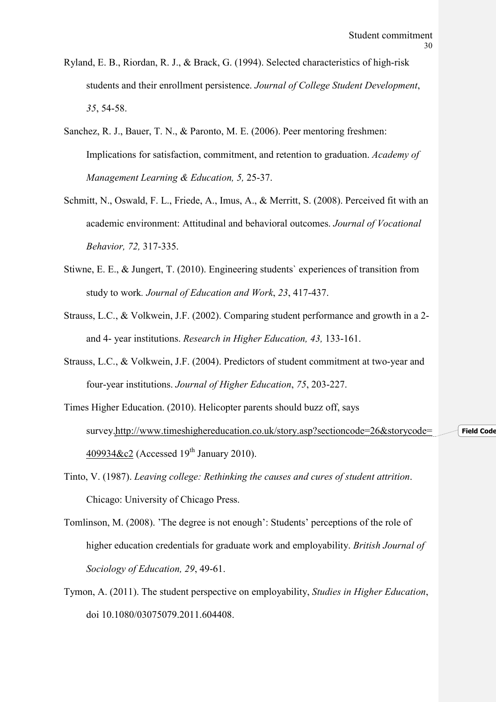- Ryland, E. B., Riordan, R. J., & Brack, G. (1994). Selected characteristics of high-risk students and their enrollment persistence. *Journal of College Student Development*, *35*, 54-58.
- Sanchez, R. J., Bauer, T. N., & Paronto, M. E. (2006). Peer mentoring freshmen: Implications for satisfaction, commitment, and retention to graduation. *Academy of Management Learning & Education, 5,* 25-37.
- Schmitt, N., Oswald, F. L., Friede, A., Imus, A., & Merritt, S. (2008). Perceived fit with an academic environment: Attitudinal and behavioral outcomes. *Journal of Vocational Behavior, 72,* 317-335.
- Stiwne, E. E., & Jungert, T. (2010). Engineering students` experiences of transition from study to work*. Journal of Education and Work*, *23*, 417-437.
- Strauss, L.C., & Volkwein, J.F. (2002). Comparing student performance and growth in a 2 and 4- year institutions. *Research in Higher Education, 43,* 133-161.
- Strauss, L.C., & Volkwein, J.F. (2004). Predictors of student commitment at two-year and four-year institutions. *Journal of Higher Education*, *75*, 203-227.

Times Higher Education. (2010). Helicopter parents should buzz off, says survey.http://www.timeshighereducation.co.uk/story.asp?sectioncode=26&storycode= 409934&c2 (Accessed  $19<sup>th</sup>$  January 2010). **Field Code**

- Tinto, V. (1987). *Leaving college: Rethinking the causes and cures of student attrition*. Chicago: University of Chicago Press.
- Tomlinson, M. (2008). 'The degree is not enough': Students' perceptions of the role of higher education credentials for graduate work and employability. *British Journal of Sociology of Education, 29*, 49-61.
- Tymon, A. (2011). The student perspective on employability, *Studies in Higher Education*, doi 10.1080/03075079.2011.604408.